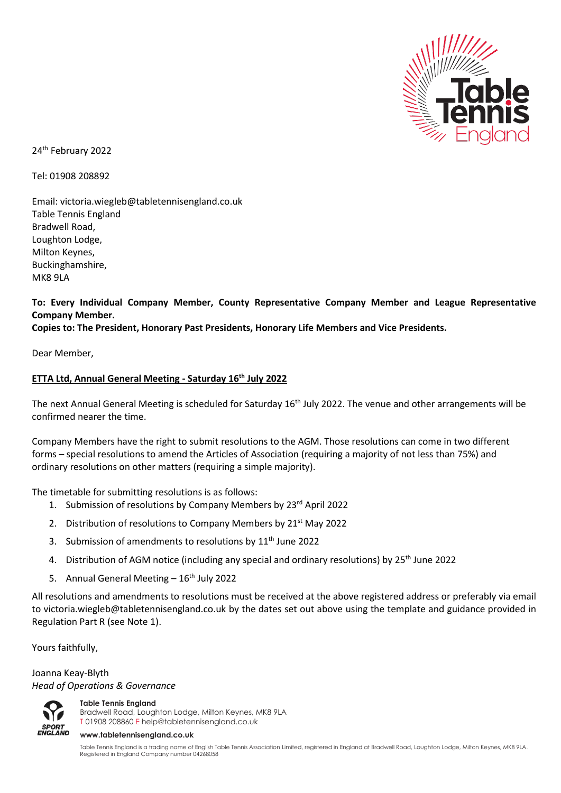

24 th February 2022

Tel: 01908 208892

Email: victoria.wiegleb@tabletennisengland.co.uk Table Tennis England Bradwell Road, Loughton Lodge, Milton Keynes, Buckinghamshire, MK8 9LA

**To: Every Individual Company Member, County Representative Company Member and League Representative Company Member.**

**Copies to: The President, Honorary Past Presidents, Honorary Life Members and Vice Presidents.**

Dear Member,

## **ETTA Ltd, Annual General Meeting - Saturday 16th July 2022**

The next Annual General Meeting is scheduled for Saturday 16<sup>th</sup> July 2022. The venue and other arrangements will be confirmed nearer the time.

Company Members have the right to submit resolutions to the AGM. Those resolutions can come in two different forms – special resolutions to amend the Articles of Association (requiring a majority of not less than 75%) and ordinary resolutions on other matters (requiring a simple majority).

The timetable for submitting resolutions is as follows:

- 1. Submission of resolutions by Company Members by 23<sup>rd</sup> April 2022
- 2. Distribution of resolutions to Company Members by  $21<sup>st</sup>$  May 2022
- 3. Submission of amendments to resolutions by  $11<sup>th</sup>$  June 2022
- 4. Distribution of AGM notice (including any special and ordinary resolutions) by 25<sup>th</sup> June 2022
- 5. Annual General Meeting  $-16<sup>th</sup>$  July 2022

All resolutions and amendments to resolutions must be received at the above registered address or preferably via email to victoria.wiegleb@tabletennisengland.co.uk by the dates set out above using the template and guidance provided in Regulation Part R (see Note 1).

Yours faithfully,

Joanna Keay-Blyth *Head of Operations & Governance*



**Table Tennis England**

Bradwell Road, Loughton Lodge, Milton Keynes, MK8 9LA T 01908 208860 [E help@tabletennisengland.co.uk](mailto:help@tabletennisengland.co.uk)

#### **[www.tabletennisengland.co.uk](http://www.tabletennisengland.co.uk/)**

Table Tennis England is a trading name of English Table Tennis Association Limited, registered in England at Bradwell Road, Loughton Lodge, Milton Keynes, MK8 9LA. Registered in England Company number 04268058